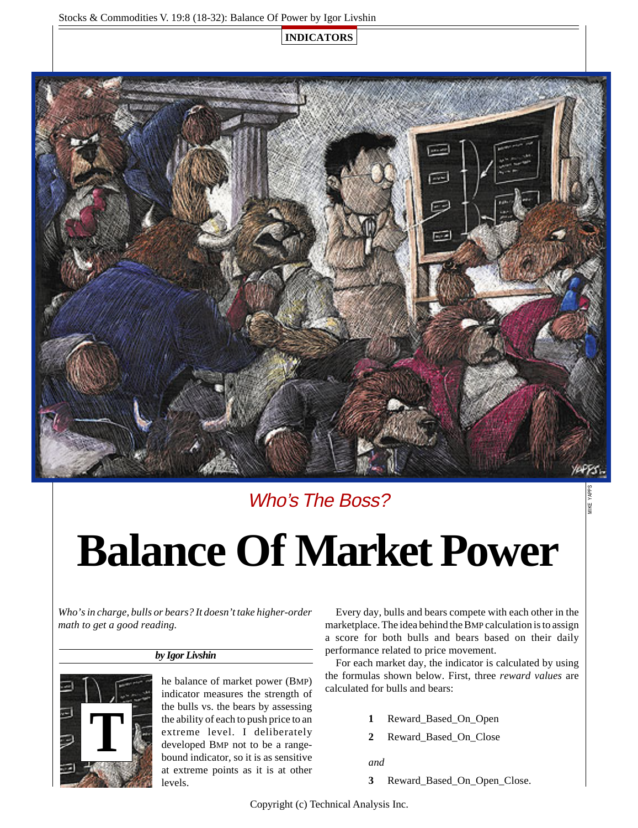# **INDICATORS**



# Who's The Boss?

# **Balance Of Market Power**

*Who's in charge, bulls or bears? It doesn't take higher-order math to get a good reading.*

#### *by Igor Livshin*



he balance of market power (BMP) indicator measures the strength of the bulls vs. the bears by assessing the ability of each to push price to an extreme level. I deliberately developed BMP not to be a rangebound indicator, so it is as sensitive at extreme points as it is at other levels.

Every day, bulls and bears compete with each other in the marketplace. The idea behind the BMP calculation is to assign a score for both bulls and bears based on their daily performance related to price movement.

For each market day, the indicator is calculated by using the formulas shown below. First, three *reward values* are calculated for bulls and bears:

- **1** Reward\_Based\_On\_Open
- **2** Reward\_Based\_On\_Close

*and*

**3** Reward\_Based\_On\_Open\_Close.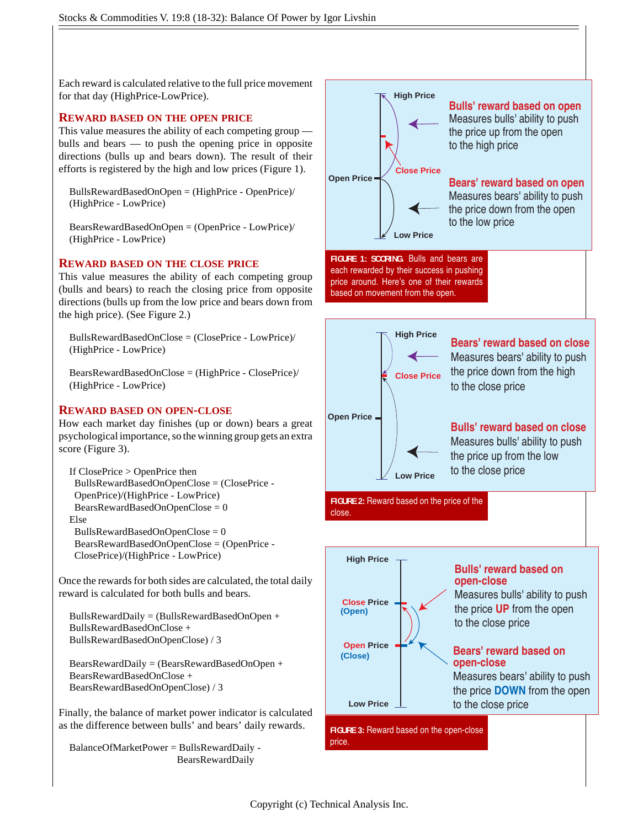Each reward is calculated relative to the full price movement for that day (HighPrice-LowPrice).

#### **REWARD BASED ON THE OPEN PRICE**

This value measures the ability of each competing group bulls and bears — to push the opening price in opposite directions (bulls up and bears down). The result of their efforts is registered by the high and low prices (Figure 1).

BullsRewardBasedOnOpen = (HighPrice - OpenPrice)/ (HighPrice - LowPrice)

BearsRewardBasedOnOpen = (OpenPrice - LowPrice)/ (HighPrice - LowPrice)

#### **REWARD BASED ON THE CLOSE PRICE**

This value measures the ability of each competing group (bulls and bears) to reach the closing price from opposite directions (bulls up from the low price and bears down from the high price). (See Figure 2.)

BullsRewardBasedOnClose = (ClosePrice - LowPrice)/ (HighPrice - LowPrice)

BearsRewardBasedOnClose = (HighPrice - ClosePrice)/ (HighPrice - LowPrice)

### **REWARD BASED ON OPEN-CLOSE**

How each market day finishes (up or down) bears a great psychological importance, so the winning group gets an extra score (Figure 3).

If ClosePrice > OpenPrice then BullsRewardBasedOnOpenClose = (ClosePrice - OpenPrice)/(HighPrice - LowPrice) BearsRewardBasedOnOpenClose = 0 Else BullsRewardBasedOnOpenClose = 0 BearsRewardBasedOnOpenClose = (OpenPrice -

ClosePrice)/(HighPrice - LowPrice)

Once the rewards for both sides are calculated, the total daily reward is calculated for both bulls and bears.

BullsRewardDaily = (BullsRewardBasedOnOpen + BullsRewardBasedOnClose + BullsRewardBasedOnOpenClose) / 3

BearsRewardDaily = (BearsRewardBasedOnOpen + BearsRewardBasedOnClose + BearsRewardBasedOnOpenClose) / 3

Finally, the balance of market power indicator is calculated as the difference between bulls' and bears' daily rewards.

BalanceOfMarketPower = BullsRewardDaily - BearsRewardDaily

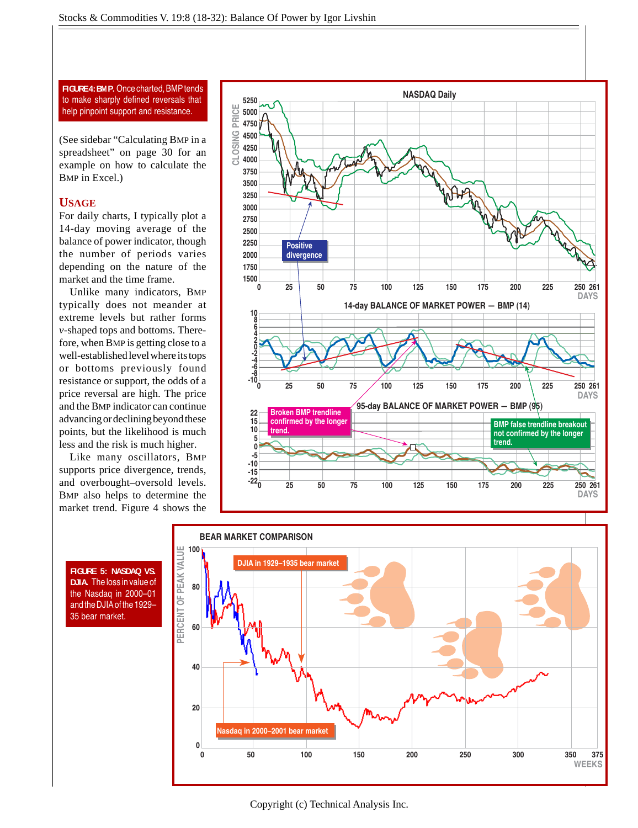**FIGURE 4: BMP.**Once charted, BMP tends to make sharply defined reversals that help pinpoint support and resistance.

(See sidebar "Calculating BMP in a spreadsheet" on page 30 for an example on how to calculate the BMP in Excel.)

## **USAGE**

For daily charts, I typically plot a 14-day moving average of the balance of power indicator, though the number of periods varies depending on the nature of the market and the time frame.

Unlike many indicators, BMP typically does not meander at extreme levels but rather forms *v*-shaped tops and bottoms. Therefore, when BMP is getting close to a well-established level where its tops or bottoms previously found resistance or support, the odds of a price reversal are high. The price and the BMP indicator can continue advancing or declining beyond these points, but the likelihood is much less and the risk is much higher.

Like many oscillators, BMP supports price divergence, trends, and overbought–oversold levels. BMP also helps to determine the market trend. Figure 4 shows the

![](_page_2_Figure_7.jpeg)

![](_page_2_Figure_8.jpeg)

![](_page_2_Figure_9.jpeg)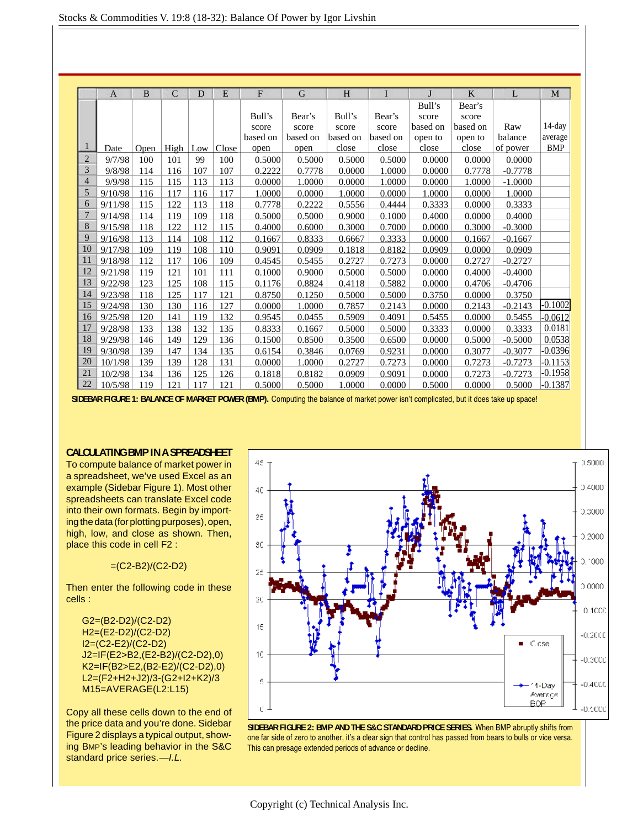|                | $\mathbf{A}$ | B    | $\mathcal{C}$ | D   | E     | F        | G        | H        | I        | J        | K        | L         | M          |
|----------------|--------------|------|---------------|-----|-------|----------|----------|----------|----------|----------|----------|-----------|------------|
|                |              |      |               |     |       |          |          |          |          | Bull's   | Bear's   |           |            |
|                |              |      |               |     |       | Bull's   | Bear's   | Bull's   | Bear's   | score    | score    |           |            |
|                |              |      |               |     |       | score    | score    | score    | score    | based on | based on | Raw       | 14-day     |
|                |              |      |               |     |       | based on | based on | based on | based on | open to  | open to  | balance   | average    |
|                | Date         | Open | High          | Low | Close | open     | open     | close    | close    | close    | close    | of power  | <b>BMP</b> |
| $rac{2}{3}$    | 9/7/98       | 100  | 101           | 99  | 100   | 0.5000   | 0.5000   | 0.5000   | 0.5000   | 0.0000   | 0.0000   | 0.0000    |            |
|                | 9/8/98       | 114  | 116           | 107 | 107   | 0.2222   | 0.7778   | 0.0000   | 1.0000   | 0.0000   | 0.7778   | $-0.7778$ |            |
| $\overline{4}$ | 9/9/98       | 115  | 115           | 113 | 113   | 0.0000   | 1.0000   | 0.0000   | 1.0000   | 0.0000   | 1.0000   | $-1.0000$ |            |
| 5              | 9/10/98      | 116  | 117           | 116 | 117   | 1.0000   | 0.0000   | 1.0000   | 0.0000   | 1.0000   | 0.0000   | 1.0000    |            |
| 6              | 9/11/98      | 115  | 122           | 113 | 118   | 0.7778   | 0.2222   | 0.5556   | 0.4444   | 0.3333   | 0.0000   | 0.3333    |            |
| 7              | 9/14/98      | 114  | 119           | 109 | 118   | 0.5000   | 0.5000   | 0.9000   | 0.1000   | 0.4000   | 0.0000   | 0.4000    |            |
| $\,8\,$        | 9/15/98      | 118  | 122           | 112 | 115   | 0.4000   | 0.6000   | 0.3000   | 0.7000   | 0.0000   | 0.3000   | $-0.3000$ |            |
| 9              | 9/16/98      | 113  | 114           | 108 | 112   | 0.1667   | 0.8333   | 0.6667   | 0.3333   | 0.0000   | 0.1667   | $-0.1667$ |            |
| 10             | 9/17/98      | 109  | 119           | 108 | 110   | 0.9091   | 0.0909   | 0.1818   | 0.8182   | 0.0909   | 0.0000   | 0.0909    |            |
| 11             | 9/18/98      | 112  | 117           | 106 | 109   | 0.4545   | 0.5455   | 0.2727   | 0.7273   | 0.0000   | 0.2727   | $-0.2727$ |            |
| 12             | 9/21/98      | 119  | 121           | 101 | 111   | 0.1000   | 0.9000   | 0.5000   | 0.5000   | 0.0000   | 0.4000   | $-0.4000$ |            |
| 13             | 9/22/98      | 123  | 125           | 108 | 115   | 0.1176   | 0.8824   | 0.4118   | 0.5882   | 0.0000   | 0.4706   | $-0.4706$ |            |
| 14             | 9/23/98      | 118  | 125           | 117 | 121   | 0.8750   | 0.1250   | 0.5000   | 0.5000   | 0.3750   | 0.0000   | 0.3750    |            |
| 15             | 9/24/98      | 130  | 130           | 116 | 127   | 0.0000   | 1.0000   | 0.7857   | 0.2143   | 0.0000   | 0.2143   | $-0.2143$ | $-0.1002$  |
| 16             | 9/25/98      | 120  | 141           | 119 | 132   | 0.9545   | 0.0455   | 0.5909   | 0.4091   | 0.5455   | 0.0000   | 0.5455    | $-0.0612$  |
| 17             | 9/28/98      | 133  | 138           | 132 | 135   | 0.8333   | 0.1667   | 0.5000   | 0.5000   | 0.3333   | 0.0000   | 0.3333    | 0.0181     |
| 18             | 9/29/98      | 146  | 149           | 129 | 136   | 0.1500   | 0.8500   | 0.3500   | 0.6500   | 0.0000   | 0.5000   | $-0.5000$ | 0.0538     |
| 19             | 9/30/98      | 139  | 147           | 134 | 135   | 0.6154   | 0.3846   | 0.0769   | 0.9231   | 0.0000   | 0.3077   | $-0.3077$ | -0.0396    |
| 20             | 10/1/98      | 139  | 139           | 128 | 131   | 0.0000   | 1.0000   | 0.2727   | 0.7273   | 0.0000   | 0.7273   | $-0.7273$ | $-0.1153$  |
| 21             | 10/2/98      | 134  | 136           | 125 | 126   | 0.1818   | 0.8182   | 0.0909   | 0.9091   | 0.0000   | 0.7273   | $-0.7273$ | -0.1958    |
| $22\,$         | 10/5/98      | 119  | 121           | 117 | 121   | 0.5000   | 0.5000   | 1.0000   | 0.0000   | 0.5000   | 0.0000   | 0.5000    | $-0.1387$  |

**SIDEBAR FIGURE 1: BALANCE OF MARKET POWER (BMP).** Computing the balance of market power isn't complicated, but it does take up space!

**CALCULATING BMP IN A SPREADSHEET**

To compute balance of market power in a spreadsheet, we've used Excel as an example (Sidebar Figure 1). Most other spreadsheets can translate Excel code into their own formats. Begin by importing the data (for plotting purposes), open, high, low, and close as shown. Then, place this code in cell F2 :

=(C2-B2)/(C2-D2)

Then enter the following code in these cells :

G2=(B2-D2)/(C2-D2) H2=(E2-D2)/(C2-D2) I2=(C2-E2)/(C2-D2) J2=IF(E2>B2,(E2-B2)/(C2-D2),0) K2=IF(B2>E2,(B2-E2)/(C2-D2),0) L2=(F2+H2+J2)/3-(G2+I2+K2)/3 M15=AVERAGE(L2:L15)

Copy all these cells down to the end of the price data and you're done. Sidebar Figure 2 displays a typical output, showing BMP's leading behavior in the S&C standard price series.—I.L.

![](_page_3_Figure_9.jpeg)

**SIDEBAR FIGURE 2: BMP AND THE S&C STANDARD PRICE SERIES.** When BMP abruptly shifts from one far side of zero to another, it's a clear sign that control has passed from bears to bulls or vice versa. This can presage extended periods of advance or decline.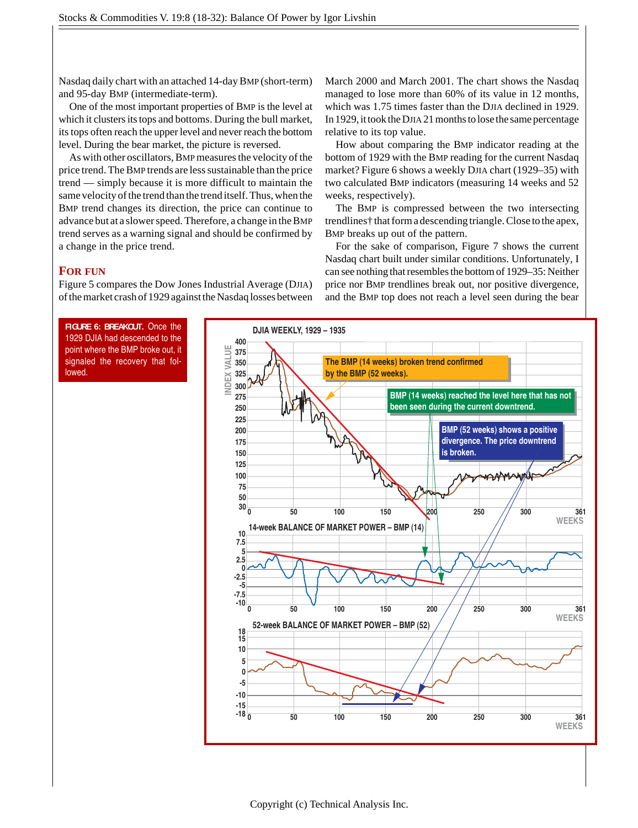Nasdaq daily chart with an attached 14-day BMP (short-term) and 95-day BMP (intermediate-term).

One of the most important properties of BMP is the level at which it clusters its tops and bottoms. During the bull market, its tops often reach the upper level and never reach the bottom level. During the bear market, the picture is reversed.

As with other oscillators, BMP measures the velocity of the price trend. The BMP trends are less sustainable than the price trend — simply because it is more difficult to maintain the same velocity of the trend than the trend itself. Thus, when the BMP trend changes its direction, the price can continue to advance but at a slower speed. Therefore, a change in the BMP trend serves as a warning signal and should be confirmed by a change in the price trend.

#### **FOR FUN**

Figure 5 compares the Dow Jones Industrial Average (DJIA) of the market crash of 1929 against the Nasdaq losses between

**FIGURE 6: BREAKOUT.** Once the 1929 DJIA had descended to the point where the BMP broke out, it signaled the recovery that followed.

March 2000 and March 2001. The chart shows the Nasdaq managed to lose more than 60% of its value in 12 months, which was 1.75 times faster than the DJIA declined in 1929. In 1929, it took the DJIA 21 months to lose the same percentage relative to its top value.

How about comparing the BMP indicator reading at the bottom of 1929 with the BMP reading for the current Nasdaq market? Figure 6 shows a weekly DJIA chart (1929–35) with two calculated BMP indicators (measuring 14 weeks and 52 weeks, respectively).

The BMP is compressed between the two intersecting trendlines† that form a descending triangle. Close to the apex, BMP breaks up out of the pattern.

For the sake of comparison, Figure 7 shows the current Nasdaq chart built under similar conditions. Unfortunately, I can see nothing that resembles the bottom of 1929–35: Neither price nor BMP trendlines break out, nor positive divergence, and the BMP top does not reach a level seen during the bear

![](_page_4_Figure_11.jpeg)